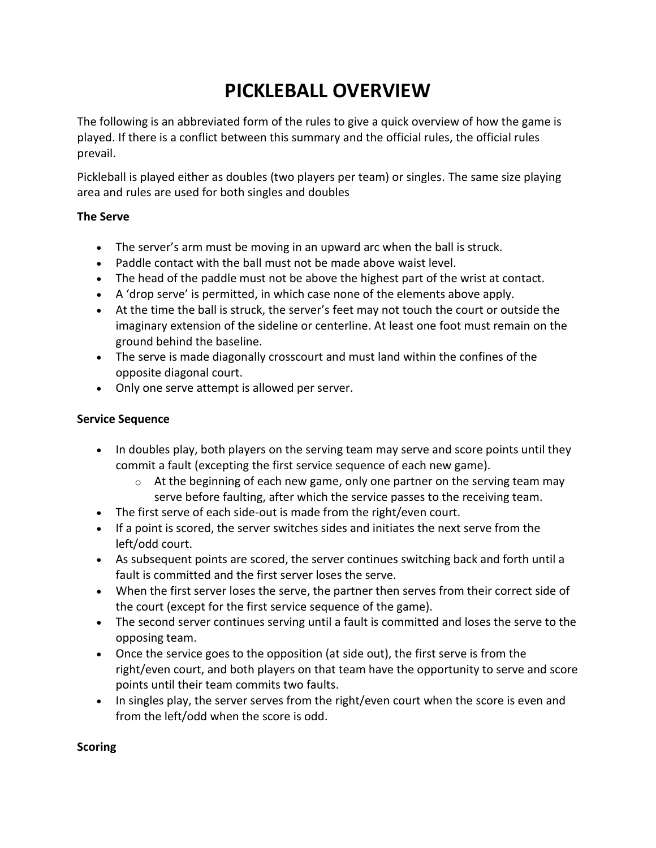# **PICKLEBALL OVERVIEW**

The following is an abbreviated form of the rules to give a quick overview of how the game is played. If there is a conflict between this summary and the official rules, the official rules prevail.

Pickleball is played either as doubles (two players per team) or singles. The same size playing area and rules are used for both singles and doubles

## **The Serve**

- The server's arm must be moving in an upward arc when the ball is struck.
- Paddle contact with the ball must not be made above waist level.
- The head of the paddle must not be above the highest part of the wrist at contact.
- A 'drop serve' is permitted, in which case none of the elements above apply.
- At the time the ball is struck, the server's feet may not touch the court or outside the imaginary extension of the sideline or centerline. At least one foot must remain on the ground behind the baseline.
- The serve is made diagonally crosscourt and must land within the confines of the opposite diagonal court.
- Only one serve attempt is allowed per server.

## **Service Sequence**

- In doubles play, both players on the serving team may serve and score points until they commit a fault (excepting the first service sequence of each new game).
	- $\circ$  At the beginning of each new game, only one partner on the serving team may serve before faulting, after which the service passes to the receiving team.
- The first serve of each side-out is made from the right/even court.
- If a point is scored, the server switches sides and initiates the next serve from the left/odd court.
- As subsequent points are scored, the server continues switching back and forth until a fault is committed and the first server loses the serve.
- When the first server loses the serve, the partner then serves from their correct side of the court (except for the first service sequence of the game).
- The second server continues serving until a fault is committed and loses the serve to the opposing team.
- Once the service goes to the opposition (at side out), the first serve is from the right/even court, and both players on that team have the opportunity to serve and score points until their team commits two faults.
- In singles play, the server serves from the right/even court when the score is even and from the left/odd when the score is odd.

### **Scoring**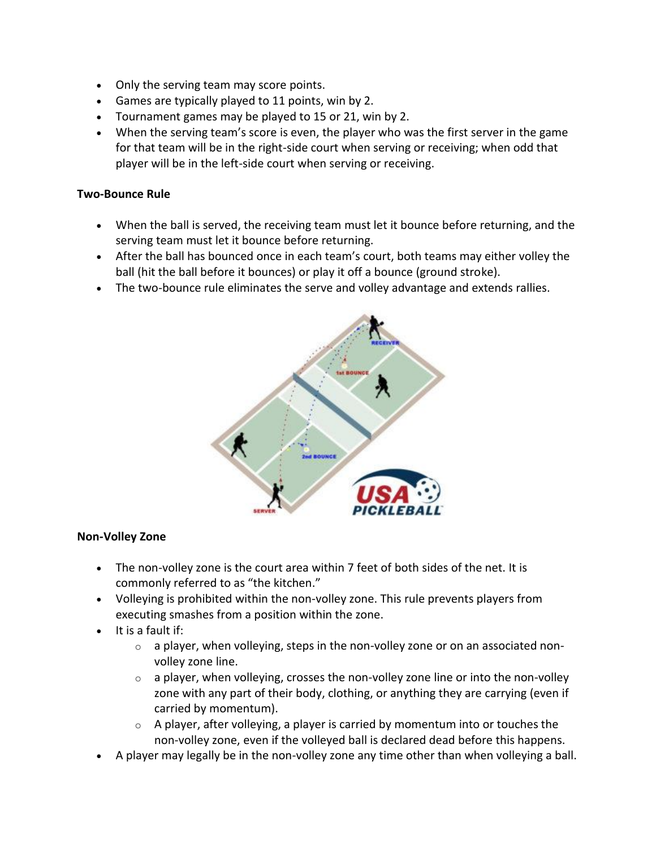- Only the serving team may score points.
- Games are typically played to 11 points, win by 2.
- Tournament games may be played to 15 or 21, win by 2.
- When the serving team's score is even, the player who was the first server in the game for that team will be in the right-side court when serving or receiving; when odd that player will be in the left-side court when serving or receiving.

## **Two-Bounce Rule**

- When the ball is served, the receiving team must let it bounce before returning, and the serving team must let it bounce before returning.
- After the ball has bounced once in each team's court, both teams may either volley the ball (hit the ball before it bounces) or play it off a bounce (ground stroke).
- The two-bounce rule eliminates the serve and volley advantage and extends rallies.



#### **Non-Volley Zone**

- The non-volley zone is the court area within 7 feet of both sides of the net. It is commonly referred to as "the kitchen."
- Volleying is prohibited within the non-volley zone. This rule prevents players from executing smashes from a position within the zone.
- $\bullet$  It is a fault if:
	- $\circ$  a player, when volleying, steps in the non-volley zone or on an associated nonvolley zone line.
	- $\circ$  a player, when volleying, crosses the non-volley zone line or into the non-volley zone with any part of their body, clothing, or anything they are carrying (even if carried by momentum).
	- $\circ$  A player, after volleying, a player is carried by momentum into or touches the non-volley zone, even if the volleyed ball is declared dead before this happens.
- A player may legally be in the non-volley zone any time other than when volleying a ball.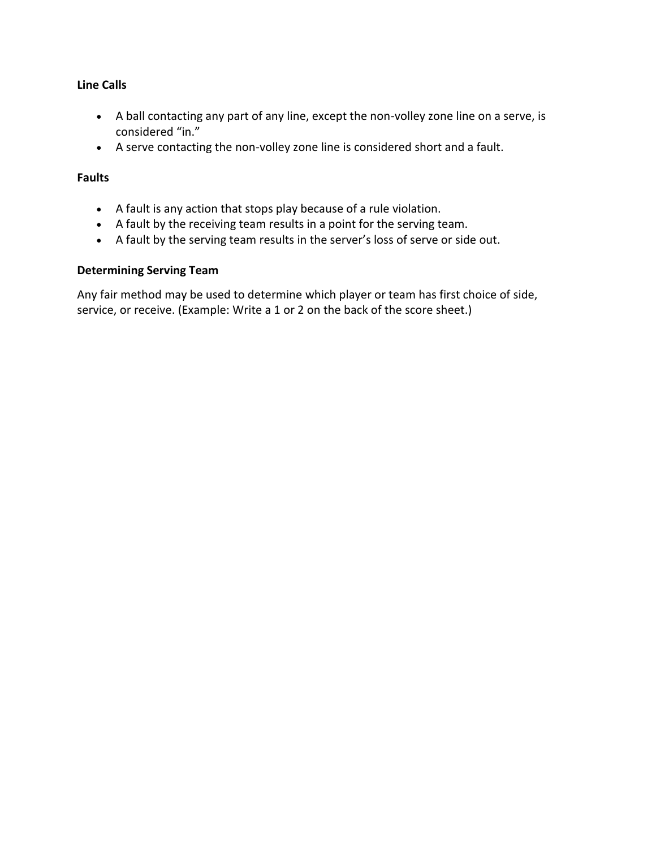## **Line Calls**

- A ball contacting any part of any line, except the non-volley zone line on a serve, is considered "in."
- A serve contacting the non-volley zone line is considered short and a fault.

## **Faults**

- A fault is any action that stops play because of a rule violation.
- A fault by the receiving team results in a point for the serving team.
- A fault by the serving team results in the server's loss of serve or side out.

## **Determining Serving Team**

Any fair method may be used to determine which player or team has first choice of side, service, or receive. (Example: Write a 1 or 2 on the back of the score sheet.)